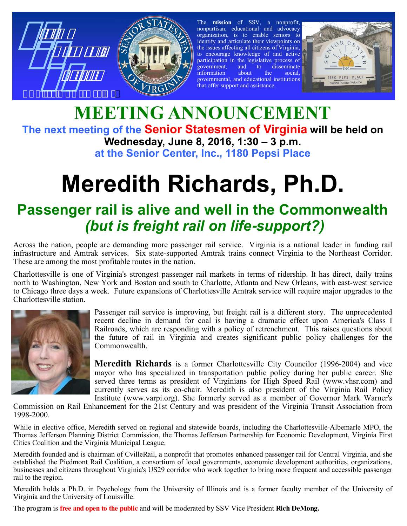



The **mission** of SSV, a nonprofit, nonpartisan, educational and advocacy organization, is to enable seniors to identify and articulate their viewpoints on the issues affecting all citizens of Virginia, to encourage knowledge of and active participation in the legislative process of<br>government, and to disseminate<br>information about the social, government, and to disseminate information about the social, governmental, and educational institutions that offer support and assistance.



## **MEETING ANNOUNCEMENT The next meeting of the Senior Statesmen of Virginia will be held on Wednesday, June 8, 2016, 1:30 – 3 p.m. at the Senior Center, Inc., 1180 Pepsi Place**

# **Meredith Richards, Ph.D.**

# **Passenger rail is alive and well in the Commonwealth** *(but is freight rail on life***-***support?)*

Across the nation, people are demanding more passenger rail service. Virginia is a national leader in funding rail infrastructure and Amtrak services. Six state-supported Amtrak trains connect Virginia to the Northeast Corridor. These are among the most profitable routes in the nation.

Charlottesville is one of Virginia's strongest passenger rail markets in terms of ridership. It has direct, daily trains north to Washington, New York and Boston and south to Charlotte, Atlanta and New Orleans, with east-west service to Chicago three days a week. Future expansions of Charlottesville Amtrak service will require major upgrades to the Charlottesville station.



Passenger rail service is improving, but freight rail is a different story. The unprecedented recent decline in demand for coal is having a dramatic effect upon America's Class I Railroads, which are responding with a policy of retrenchment. This raises questions about the future of rail in Virginia and creates significant public policy challenges for the Commonwealth.

**Meredith Richards** is a former Charlottesville City Councilor (1996-2004) and vice mayor who has specialized in transportation public policy during her public career. She served three terms as president of Virginians for High Speed Rail (www.vhsr.com) and currently serves as its co-chair. Meredith is also president of the Virginia Rail Policy Institute (www.varpi.org). She formerly served as a member of Governor Mark Warner's

Commission on Rail Enhancement for the 21st Century and was president of the Virginia Transit Association from 1998-2000.

While in elective office, Meredith served on regional and statewide boards, including the Charlottesville-Albemarle MPO, the Thomas Jefferson Planning District Commission, the Thomas Jefferson Partnership for Economic Development, Virginia First Cities Coalition and the Virginia Municipal League.

Meredith founded and is chairman of CvilleRail, a nonprofit that promotes enhanced passenger rail for Central Virginia, and she established the Piedmont Rail Coalition, a consortium of local governments, economic development authorities, organizations, businesses and citizens throughout Virginia's US29 corridor who work together to bring more frequent and accessible passenger rail to the region.

Meredith holds a Ph.D. in Psychology from the University of Illinois and is a former faculty member of the University of Virginia and the University of Louisville.

The program is **free and open to the public** and will be moderated by SSV Vice President **Rich DeMong.**